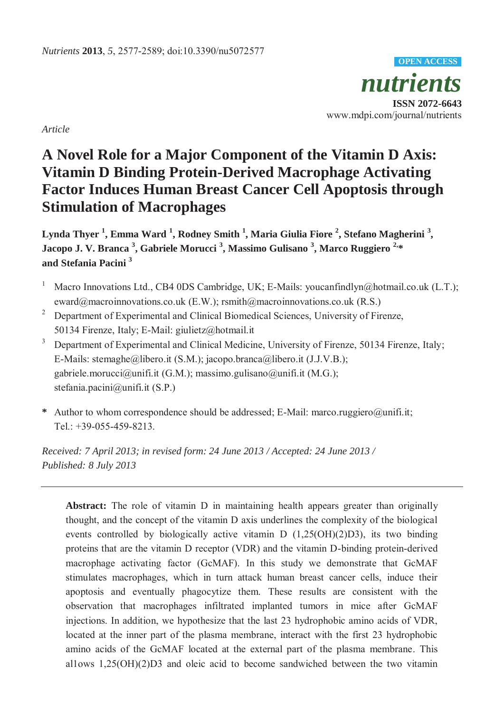*nutrients*  **ISSN 2072-6643**  www.mdpi.com/journal/nutrients **OPEN ACCESS**

*Article* 

# **A Novel Role for a Major Component of the Vitamin D Axis: Vitamin D Binding Protein-Derived Macrophage Activating Factor Induces Human Breast Cancer Cell Apoptosis through Stimulation of Macrophages**

**Lynda Thyer <sup>1</sup> , Emma Ward <sup>1</sup> , Rodney Smith <sup>1</sup> , Maria Giulia Fiore <sup>2</sup> , Stefano Magherini <sup>3</sup> , Jacopo J. V. Branca <sup>3</sup> , Gabriele Morucci <sup>3</sup> , Massimo Gulisano <sup>3</sup> , Marco Ruggiero 2,\* and Stefania Pacini <sup>3</sup>**

- 1 Macro Innovations Ltd., CB4 0DS Cambridge, UK; E-Mails: youcanfindlyn@hotmail.co.uk (L.T.); eward@macroinnovations.co.uk (E.W.); rsmith@macroinnovations.co.uk (R.S.)
- 2 Department of Experimental and Clinical Biomedical Sciences, University of Firenze, 50134 Firenze, Italy; E-Mail: giulietz@hotmail.it
- 3 Department of Experimental and Clinical Medicine, University of Firenze, 50134 Firenze, Italy; E-Mails: stemaghe@libero.it (S.M.); jacopo.branca@libero.it (J.J.V.B.); gabriele.morucci@unifi.it (G.M.); massimo.gulisano@unifi.it (M.G.); stefania.pacini@unifi.it (S.P.)
- **\*** Author to whom correspondence should be addressed; E-Mail: marco.ruggiero@unifi.it; Tel.: +39-055-459-8213.

*Received: 7 April 2013; in revised form: 24 June 2013 / Accepted: 24 June 2013 / Published: 8 July 2013* 

**Abstract:** The role of vitamin D in maintaining health appears greater than originally thought, and the concept of the vitamin D axis underlines the complexity of the biological events controlled by biologically active vitamin D (1,25(OH)(2)D3), its two binding proteins that are the vitamin D receptor (VDR) and the vitamin D-binding protein-derived macrophage activating factor (GcMAF). In this study we demonstrate that GcMAF stimulates macrophages, which in turn attack human breast cancer cells, induce their apoptosis and eventually phagocytize them. These results are consistent with the observation that macrophages infiltrated implanted tumors in mice after GcMAF injections. In addition, we hypothesize that the last 23 hydrophobic amino acids of VDR, located at the inner part of the plasma membrane, interact with the first 23 hydrophobic amino acids of the GcMAF located at the external part of the plasma membrane. This al1ows 1,25(OH)(2)D3 and oleic acid to become sandwiched between the two vitamin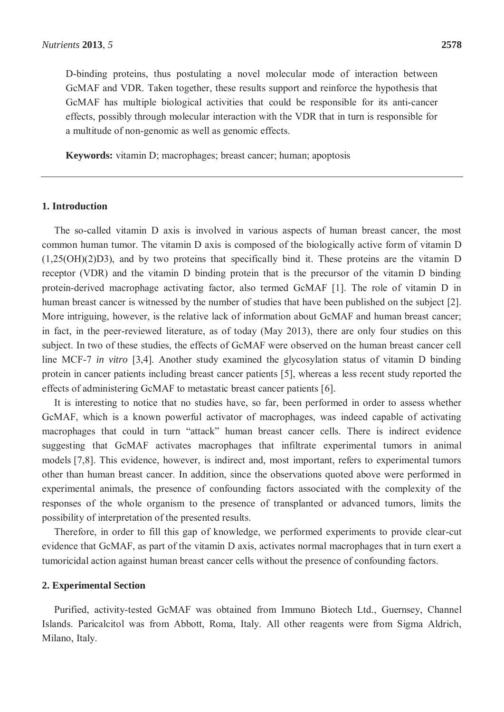D-binding proteins, thus postulating a novel molecular mode of interaction between GcMAF and VDR. Taken together, these results support and reinforce the hypothesis that GcMAF has multiple biological activities that could be responsible for its anti-cancer effects, possibly through molecular interaction with the VDR that in turn is responsible for a multitude of non-genomic as well as genomic effects.

**Keywords:** vitamin D; macrophages; breast cancer; human; apoptosis

#### **1. Introduction**

The so-called vitamin D axis is involved in various aspects of human breast cancer, the most common human tumor. The vitamin D axis is composed of the biologically active form of vitamin D (1,25(OH)(2)D3), and by two proteins that specifically bind it. These proteins are the vitamin D receptor (VDR) and the vitamin D binding protein that is the precursor of the vitamin D binding protein-derived macrophage activating factor, also termed GcMAF [1]. The role of vitamin D in human breast cancer is witnessed by the number of studies that have been published on the subject [2]. More intriguing, however, is the relative lack of information about GcMAF and human breast cancer; in fact, in the peer-reviewed literature, as of today (May 2013), there are only four studies on this subject. In two of these studies, the effects of GcMAF were observed on the human breast cancer cell line MCF-7 *in vitro* [3,4]. Another study examined the glycosylation status of vitamin D binding protein in cancer patients including breast cancer patients [5], whereas a less recent study reported the effects of administering GcMAF to metastatic breast cancer patients [6].

It is interesting to notice that no studies have, so far, been performed in order to assess whether GcMAF, which is a known powerful activator of macrophages, was indeed capable of activating macrophages that could in turn "attack" human breast cancer cells. There is indirect evidence suggesting that GcMAF activates macrophages that infiltrate experimental tumors in animal models [7,8]. This evidence, however, is indirect and, most important, refers to experimental tumors other than human breast cancer. In addition, since the observations quoted above were performed in experimental animals, the presence of confounding factors associated with the complexity of the responses of the whole organism to the presence of transplanted or advanced tumors, limits the possibility of interpretation of the presented results.

Therefore, in order to fill this gap of knowledge, we performed experiments to provide clear-cut evidence that GcMAF, as part of the vitamin D axis, activates normal macrophages that in turn exert a tumoricidal action against human breast cancer cells without the presence of confounding factors.

#### **2. Experimental Section**

Purified, activity-tested GcMAF was obtained from Immuno Biotech Ltd., Guernsey, Channel Islands. Paricalcitol was from Abbott, Roma, Italy. All other reagents were from Sigma Aldrich, Milano, Italy.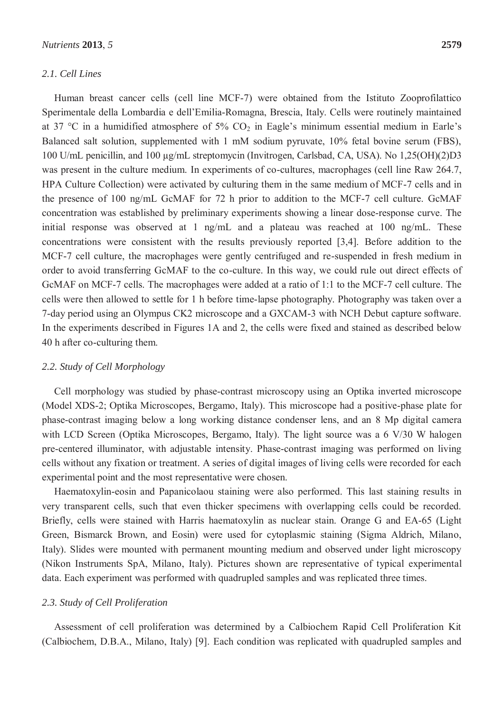#### *2.1. Cell Lines*

Human breast cancer cells (cell line MCF-7) were obtained from the Istituto Zooprofilattico Sperimentale della Lombardia e dell'Emilia-Romagna, Brescia, Italy. Cells were routinely maintained at 37 °C in a humidified atmosphere of 5%  $CO<sub>2</sub>$  in Eagle's minimum essential medium in Earle's Balanced salt solution, supplemented with 1 mM sodium pyruvate, 10% fetal bovine serum (FBS), 100 U/mL penicillin, and 100 μg/mL streptomycin (Invitrogen, Carlsbad, CA, USA). No 1,25(OH)(2)D3 was present in the culture medium. In experiments of co-cultures, macrophages (cell line Raw 264.7, HPA Culture Collection) were activated by culturing them in the same medium of MCF-7 cells and in the presence of 100 ng/mL GcMAF for 72 h prior to addition to the MCF-7 cell culture. GcMAF concentration was established by preliminary experiments showing a linear dose-response curve. The initial response was observed at 1 ng/mL and a plateau was reached at 100 ng/mL. These concentrations were consistent with the results previously reported [3,4]. Before addition to the MCF-7 cell culture, the macrophages were gently centrifuged and re-suspended in fresh medium in order to avoid transferring GcMAF to the co-culture. In this way, we could rule out direct effects of GcMAF on MCF-7 cells. The macrophages were added at a ratio of 1:1 to the MCF-7 cell culture. The cells were then allowed to settle for 1 h before time-lapse photography. Photography was taken over a 7-day period using an Olympus CK2 microscope and a GXCAM-3 with NCH Debut capture software. In the experiments described in Figures 1A and 2, the cells were fixed and stained as described below 40 h after co-culturing them.

## *2.2. Study of Cell Morphology*

Cell morphology was studied by phase-contrast microscopy using an Optika inverted microscope (Model XDS-2; Optika Microscopes, Bergamo, Italy). This microscope had a positive-phase plate for phase-contrast imaging below a long working distance condenser lens, and an 8 Mp digital camera with LCD Screen (Optika Microscopes, Bergamo, Italy). The light source was a 6 V/30 W halogen pre-centered illuminator, with adjustable intensity. Phase-contrast imaging was performed on living cells without any fixation or treatment. A series of digital images of living cells were recorded for each experimental point and the most representative were chosen.

Haematoxylin-eosin and Papanicolaou staining were also performed. This last staining results in very transparent cells, such that even thicker specimens with overlapping cells could be recorded. Briefly, cells were stained with Harris haematoxylin as nuclear stain. Orange G and EA-65 (Light Green, Bismarck Brown, and Eosin) were used for cytoplasmic staining (Sigma Aldrich, Milano, Italy). Slides were mounted with permanent mounting medium and observed under light microscopy (Nikon Instruments SpA, Milano, Italy). Pictures shown are representative of typical experimental data. Each experiment was performed with quadrupled samples and was replicated three times.

#### *2.3. Study of Cell Proliferation*

Assessment of cell proliferation was determined by a Calbiochem Rapid Cell Proliferation Kit (Calbiochem, D.B.A., Milano, Italy) [9]. Each condition was replicated with quadrupled samples and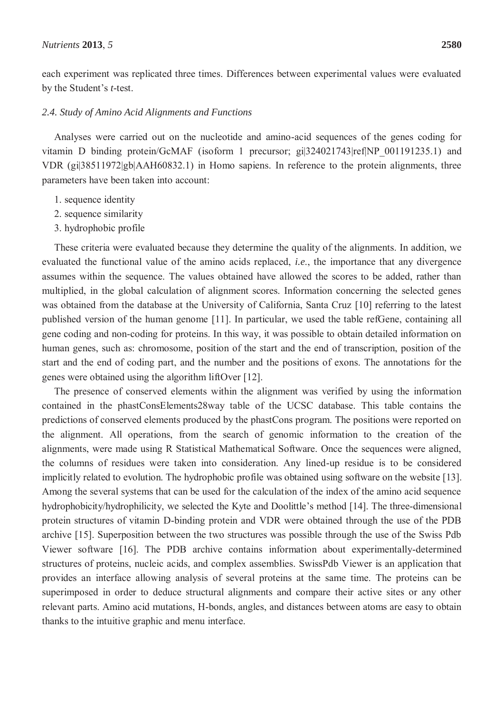each experiment was replicated three times. Differences between experimental values were evaluated by the Student's *t*-test.

#### *2.4. Study of Amino Acid Alignments and Functions*

Analyses were carried out on the nucleotide and amino-acid sequences of the genes coding for vitamin D binding protein/GcMAF (isoform 1 precursor; gi|324021743|ref|NP\_001191235.1) and VDR (gi|38511972|gb|AAH60832.1) in Homo sapiens. In reference to the protein alignments, three parameters have been taken into account:

- 1. sequence identity
- 2. sequence similarity
- 3. hydrophobic profile

These criteria were evaluated because they determine the quality of the alignments. In addition, we evaluated the functional value of the amino acids replaced, *i.e*., the importance that any divergence assumes within the sequence. The values obtained have allowed the scores to be added, rather than multiplied, in the global calculation of alignment scores. Information concerning the selected genes was obtained from the database at the University of California, Santa Cruz [10] referring to the latest published version of the human genome [11]. In particular, we used the table refGene, containing all gene coding and non-coding for proteins. In this way, it was possible to obtain detailed information on human genes, such as: chromosome, position of the start and the end of transcription, position of the start and the end of coding part, and the number and the positions of exons. The annotations for the genes were obtained using the algorithm liftOver [12].

The presence of conserved elements within the alignment was verified by using the information contained in the phastConsElements28way table of the UCSC database. This table contains the predictions of conserved elements produced by the phastCons program. The positions were reported on the alignment. All operations, from the search of genomic information to the creation of the alignments, were made using R Statistical Mathematical Software. Once the sequences were aligned, the columns of residues were taken into consideration. Any lined-up residue is to be considered implicitly related to evolution. The hydrophobic profile was obtained using software on the website [13]. Among the several systems that can be used for the calculation of the index of the amino acid sequence hydrophobicity/hydrophilicity, we selected the Kyte and Doolittle's method [14]. The three-dimensional protein structures of vitamin D-binding protein and VDR were obtained through the use of the PDB archive [15]. Superposition between the two structures was possible through the use of the Swiss Pdb Viewer software [16]. The PDB archive contains information about experimentally-determined structures of proteins, nucleic acids, and complex assemblies. SwissPdb Viewer is an application that provides an interface allowing analysis of several proteins at the same time. The proteins can be superimposed in order to deduce structural alignments and compare their active sites or any other relevant parts. Amino acid mutations, H-bonds, angles, and distances between atoms are easy to obtain thanks to the intuitive graphic and menu interface.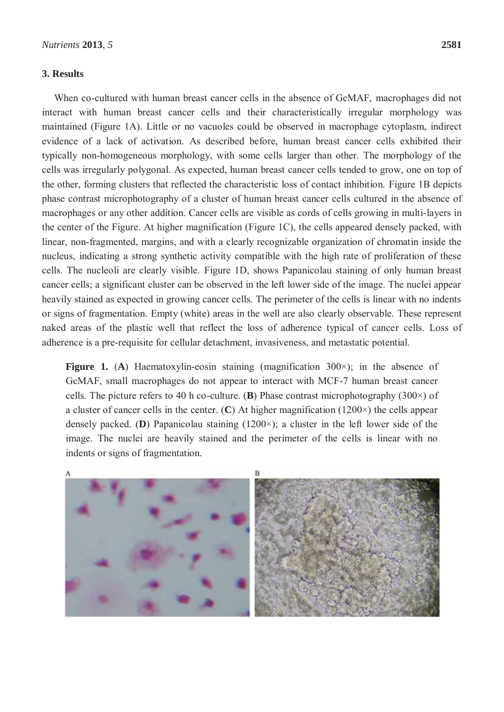# **3. Results**

When co-cultured with human breast cancer cells in the absence of GcMAF, macrophages did not interact with human breast cancer cells and their characteristically irregular morphology was maintained (Figure 1A). Little or no vacuoles could be observed in macrophage cytoplasm, indirect evidence of a lack of activation. As described before, human breast cancer cells exhibited their typically non-homogeneous morphology, with some cells larger than other. The morphology of the cells was irregularly polygonal. As expected, human breast cancer cells tended to grow, one on top of the other, forming clusters that reflected the characteristic loss of contact inhibition. Figure 1B depicts phase contrast microphotography of a cluster of human breast cancer cells cultured in the absence of macrophages or any other addition. Cancer cells are visible as cords of cells growing in multi-layers in the center of the Figure. At higher magnification (Figure 1C), the cells appeared densely packed, with linear, non-fragmented, margins, and with a clearly recognizable organization of chromatin inside the nucleus, indicating a strong synthetic activity compatible with the high rate of proliferation of these cells. The nucleoli are clearly visible. Figure 1D, shows Papanicolau staining of only human breast cancer cells; a significant cluster can be observed in the left lower side of the image. The nuclei appear heavily stained as expected in growing cancer cells. The perimeter of the cells is linear with no indents or signs of fragmentation. Empty (white) areas in the well are also clearly observable. These represent naked areas of the plastic well that reflect the loss of adherence typical of cancer cells. Loss of adherence is a pre-requisite for cellular detachment, invasiveness, and metastatic potential.

**Figure 1.** (A) Haematoxylin-eosin staining (magnification 300×); in the absence of GcMAF, small macrophages do not appear to interact with MCF-7 human breast cancer cells. The picture refers to 40 h co-culture. (**B**) Phase contrast microphotography (300×) of a cluster of cancer cells in the center. (**C**) At higher magnification (1200×) the cells appear densely packed. (**D**) Papanicolau staining (1200×); a cluster in the left lower side of the image. The nuclei are heavily stained and the perimeter of the cells is linear with no indents or signs of fragmentation.

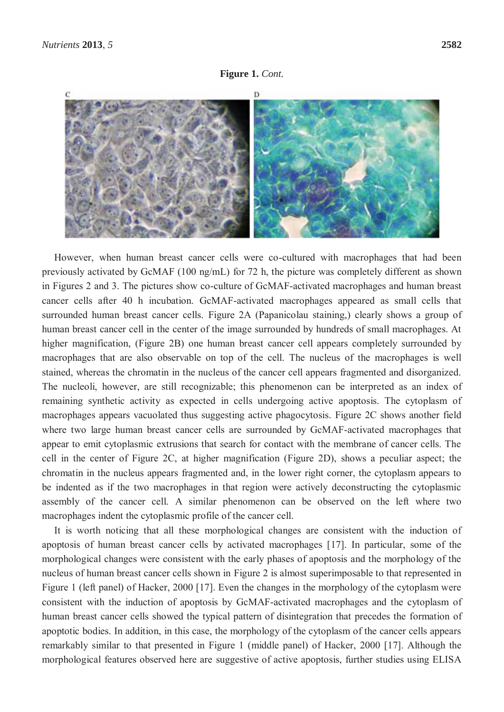

However, when human breast cancer cells were co-cultured with macrophages that had been previously activated by GcMAF (100 ng/mL) for 72 h, the picture was completely different as shown in Figures 2 and 3. The pictures show co-culture of GcMAF-activated macrophages and human breast cancer cells after 40 h incubation. GcMAF-activated macrophages appeared as small cells that surrounded human breast cancer cells. Figure 2A (Papanicolau staining,) clearly shows a group of human breast cancer cell in the center of the image surrounded by hundreds of small macrophages. At higher magnification, (Figure 2B) one human breast cancer cell appears completely surrounded by macrophages that are also observable on top of the cell. The nucleus of the macrophages is well stained, whereas the chromatin in the nucleus of the cancer cell appears fragmented and disorganized. The nucleoli, however, are still recognizable; this phenomenon can be interpreted as an index of remaining synthetic activity as expected in cells undergoing active apoptosis. The cytoplasm of macrophages appears vacuolated thus suggesting active phagocytosis. Figure 2C shows another field where two large human breast cancer cells are surrounded by GcMAF-activated macrophages that appear to emit cytoplasmic extrusions that search for contact with the membrane of cancer cells. The cell in the center of Figure 2C, at higher magnification (Figure 2D), shows a peculiar aspect; the chromatin in the nucleus appears fragmented and, in the lower right corner, the cytoplasm appears to be indented as if the two macrophages in that region were actively deconstructing the cytoplasmic assembly of the cancer cell. A similar phenomenon can be observed on the left where two macrophages indent the cytoplasmic profile of the cancer cell.

It is worth noticing that all these morphological changes are consistent with the induction of apoptosis of human breast cancer cells by activated macrophages [17]. In particular, some of the morphological changes were consistent with the early phases of apoptosis and the morphology of the nucleus of human breast cancer cells shown in Figure 2 is almost superimposable to that represented in Figure 1 (left panel) of Hacker, 2000 [17]. Even the changes in the morphology of the cytoplasm were consistent with the induction of apoptosis by GcMAF-activated macrophages and the cytoplasm of human breast cancer cells showed the typical pattern of disintegration that precedes the formation of apoptotic bodies. In addition, in this case, the morphology of the cytoplasm of the cancer cells appears remarkably similar to that presented in Figure 1 (middle panel) of Hacker, 2000 [17]. Although the morphological features observed here are suggestive of active apoptosis, further studies using ELISA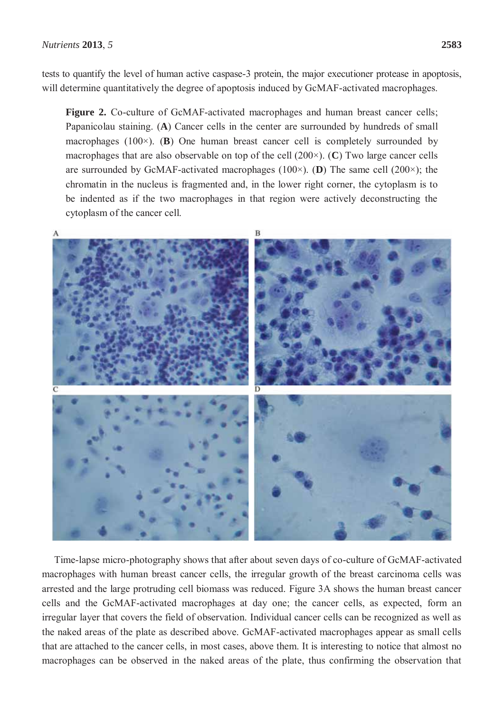tests to quantify the level of human active caspase-3 protein, the major executioner protease in apoptosis, will determine quantitatively the degree of apoptosis induced by GcMAF-activated macrophages.

Figure 2. Co-culture of GcMAF-activated macrophages and human breast cancer cells; Papanicolau staining. (**A**) Cancer cells in the center are surrounded by hundreds of small macrophages (100×). **(B)** One human breast cancer cell is completely surrounded by macrophages that are also observable on top of the cell (200×). (**C**) Two large cancer cells are surrounded by GcMAF-activated macrophages (100×). (**D**) The same cell (200×); the chromatin in the nucleus is fragmented and, in the lower right corner, the cytoplasm is to be indented as if the two macrophages in that region were actively deconstructing the cytoplasm of the cancer cell.



Time-lapse micro-photography shows that after about seven days of co-culture of GcMAF-activated macrophages with human breast cancer cells, the irregular growth of the breast carcinoma cells was arrested and the large protruding cell biomass was reduced. Figure 3A shows the human breast cancer cells and the GcMAF-activated macrophages at day one; the cancer cells, as expected, form an irregular layer that covers the field of observation. Individual cancer cells can be recognized as well as the naked areas of the plate as described above. GcMAF-activated macrophages appear as small cells that are attached to the cancer cells, in most cases, above them. It is interesting to notice that almost no macrophages can be observed in the naked areas of the plate, thus confirming the observation that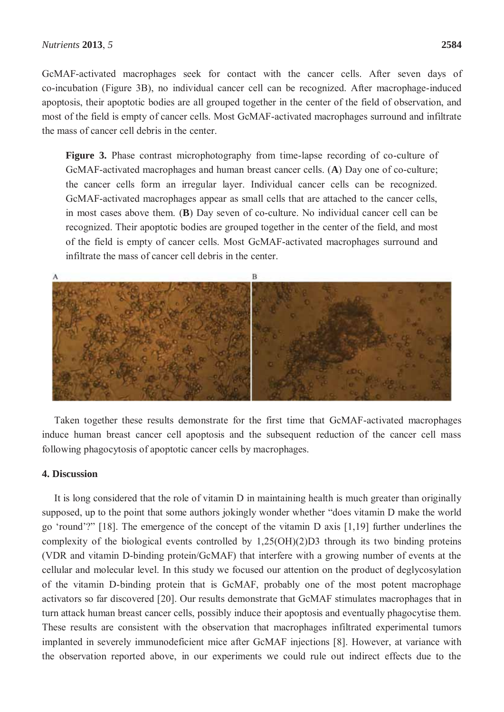GcMAF-activated macrophages seek for contact with the cancer cells. After seven days of co-incubation (Figure 3B), no individual cancer cell can be recognized. After macrophage-induced apoptosis, their apoptotic bodies are all grouped together in the center of the field of observation, and most of the field is empty of cancer cells. Most GcMAF-activated macrophages surround and infiltrate the mass of cancer cell debris in the center.

**Figure 3.** Phase contrast microphotography from time-lapse recording of co-culture of GcMAF-activated macrophages and human breast cancer cells. (**A**) Day one of co-culture; the cancer cells form an irregular layer. Individual cancer cells can be recognized. GcMAF-activated macrophages appear as small cells that are attached to the cancer cells, in most cases above them. (**B**) Day seven of co-culture. No individual cancer cell can be recognized. Their apoptotic bodies are grouped together in the center of the field, and most of the field is empty of cancer cells. Most GcMAF-activated macrophages surround and infiltrate the mass of cancer cell debris in the center.



Taken together these results demonstrate for the first time that GcMAF-activated macrophages induce human breast cancer cell apoptosis and the subsequent reduction of the cancer cell mass following phagocytosis of apoptotic cancer cells by macrophages.

# **4. Discussion**

It is long considered that the role of vitamin D in maintaining health is much greater than originally supposed, up to the point that some authors jokingly wonder whether "does vitamin D make the world go 'round'?" [18]. The emergence of the concept of the vitamin D axis [1,19] further underlines the complexity of the biological events controlled by 1,25(OH)(2)D3 through its two binding proteins (VDR and vitamin D-binding protein/GcMAF) that interfere with a growing number of events at the cellular and molecular level. In this study we focused our attention on the product of deglycosylation of the vitamin D-binding protein that is GcMAF, probably one of the most potent macrophage activators so far discovered [20]. Our results demonstrate that GcMAF stimulates macrophages that in turn attack human breast cancer cells, possibly induce their apoptosis and eventually phagocytise them. These results are consistent with the observation that macrophages infiltrated experimental tumors implanted in severely immunodeficient mice after GcMAF injections [8]. However, at variance with the observation reported above, in our experiments we could rule out indirect effects due to the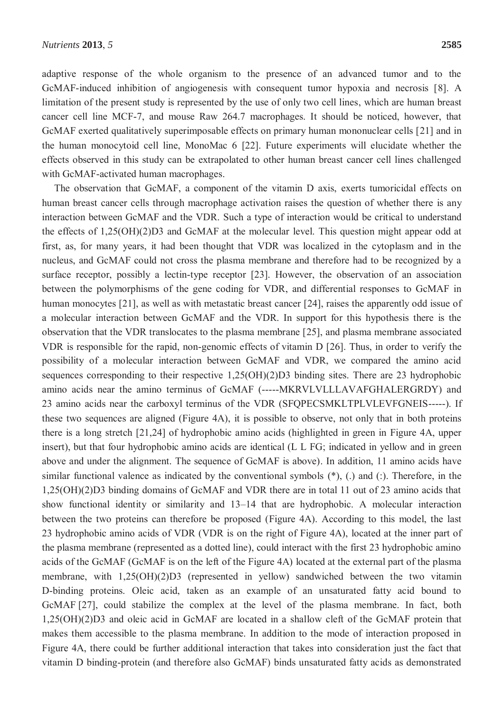adaptive response of the whole organism to the presence of an advanced tumor and to the GcMAF-induced inhibition of angiogenesis with consequent tumor hypoxia and necrosis [8]. A limitation of the present study is represented by the use of only two cell lines, which are human breast cancer cell line MCF-7, and mouse Raw 264.7 macrophages. It should be noticed, however, that GcMAF exerted qualitatively superimposable effects on primary human mononuclear cells [21] and in the human monocytoid cell line, MonoMac 6 [22]. Future experiments will elucidate whether the effects observed in this study can be extrapolated to other human breast cancer cell lines challenged with GcMAF-activated human macrophages.

The observation that GcMAF, a component of the vitamin D axis, exerts tumoricidal effects on human breast cancer cells through macrophage activation raises the question of whether there is any interaction between GcMAF and the VDR. Such a type of interaction would be critical to understand the effects of 1,25(OH)(2)D3 and GcMAF at the molecular level. This question might appear odd at first, as, for many years, it had been thought that VDR was localized in the cytoplasm and in the nucleus, and GcMAF could not cross the plasma membrane and therefore had to be recognized by a surface receptor, possibly a lectin-type receptor [23]. However, the observation of an association between the polymorphisms of the gene coding for VDR, and differential responses to GcMAF in human monocytes [21], as well as with metastatic breast cancer [24], raises the apparently odd issue of a molecular interaction between GcMAF and the VDR. In support for this hypothesis there is the observation that the VDR translocates to the plasma membrane [25], and plasma membrane associated VDR is responsible for the rapid, non-genomic effects of vitamin D [26]. Thus, in order to verify the possibility of a molecular interaction between GcMAF and VDR, we compared the amino acid sequences corresponding to their respective 1,25(OH)(2)D3 binding sites. There are 23 hydrophobic amino acids near the amino terminus of GcMAF (-----MKRVLVLLLAVAFGHALERGRDY) and 23 amino acids near the carboxyl terminus of the VDR (SFQPECSMKLTPLVLEVFGNEIS-----). If these two sequences are aligned (Figure 4A), it is possible to observe, not only that in both proteins there is a long stretch [21,24] of hydrophobic amino acids (highlighted in green in Figure 4A, upper insert), but that four hydrophobic amino acids are identical (L L FG; indicated in yellow and in green above and under the alignment. The sequence of GcMAF is above). In addition, 11 amino acids have similar functional valence as indicated by the conventional symbols (\*), (.) and (:). Therefore, in the 1,25(OH)(2)D3 binding domains of GcMAF and VDR there are in total 11 out of 23 amino acids that show functional identity or similarity and 13–14 that are hydrophobic. A molecular interaction between the two proteins can therefore be proposed (Figure 4A). According to this model, the last 23 hydrophobic amino acids of VDR (VDR is on the right of Figure 4A), located at the inner part of the plasma membrane (represented as a dotted line), could interact with the first 23 hydrophobic amino acids of the GcMAF (GcMAF is on the left of the Figure 4A) located at the external part of the plasma membrane, with 1,25(OH)(2)D3 (represented in yellow) sandwiched between the two vitamin D-binding proteins. Oleic acid, taken as an example of an unsaturated fatty acid bound to GcMAF [27], could stabilize the complex at the level of the plasma membrane. In fact, both 1,25(OH)(2)D3 and oleic acid in GcMAF are located in a shallow cleft of the GcMAF protein that makes them accessible to the plasma membrane. In addition to the mode of interaction proposed in Figure 4A, there could be further additional interaction that takes into consideration just the fact that vitamin D binding-protein (and therefore also GcMAF) binds unsaturated fatty acids as demonstrated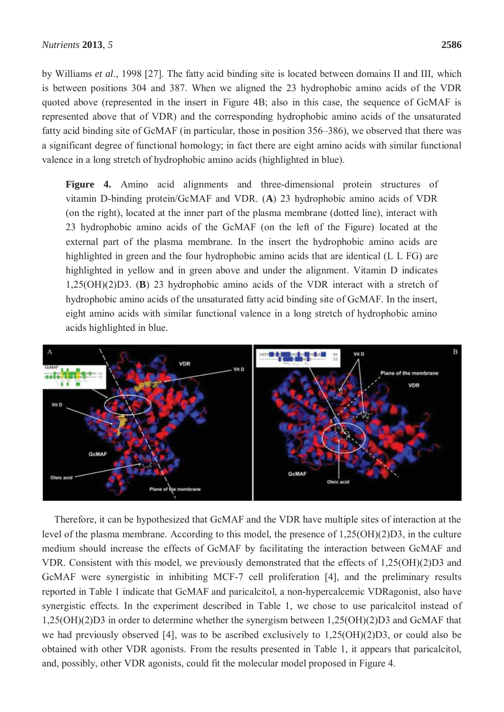by Williams *et al*., 1998 [27]. The fatty acid binding site is located between domains II and III, which is between positions 304 and 387. When we aligned the 23 hydrophobic amino acids of the VDR quoted above (represented in the insert in Figure 4B; also in this case, the sequence of GcMAF is represented above that of VDR) and the corresponding hydrophobic amino acids of the unsaturated fatty acid binding site of GcMAF (in particular, those in position 356–386), we observed that there was a significant degree of functional homology; in fact there are eight amino acids with similar functional valence in a long stretch of hydrophobic amino acids (highlighted in blue).

**Figure 4.** Amino acid alignments and three-dimensional protein structures of vitamin D-binding protein/GcMAF and VDR. (**A**) 23 hydrophobic amino acids of VDR (on the right), located at the inner part of the plasma membrane (dotted line), interact with 23 hydrophobic amino acids of the GcMAF (on the left of the Figure) located at the external part of the plasma membrane. In the insert the hydrophobic amino acids are highlighted in green and the four hydrophobic amino acids that are identical (L L FG) are highlighted in yellow and in green above and under the alignment. Vitamin D indicates 1,25(OH)(2)D3. (**B**) 23 hydrophobic amino acids of the VDR interact with a stretch of hydrophobic amino acids of the unsaturated fatty acid binding site of GcMAF. In the insert, eight amino acids with similar functional valence in a long stretch of hydrophobic amino acids highlighted in blue.



Therefore, it can be hypothesized that GcMAF and the VDR have multiple sites of interaction at the level of the plasma membrane. According to this model, the presence of 1,25(OH)(2)D3, in the culture medium should increase the effects of GcMAF by facilitating the interaction between GcMAF and VDR. Consistent with this model, we previously demonstrated that the effects of 1,25(OH)(2)D3 and GcMAF were synergistic in inhibiting MCF-7 cell proliferation [4], and the preliminary results reported in Table 1 indicate that GcMAF and paricalcitol, a non-hypercalcemic VDRagonist, also have synergistic effects. In the experiment described in Table 1, we chose to use paricalcitol instead of 1,25(OH)(2)D3 in order to determine whether the synergism between 1,25(OH)(2)D3 and GcMAF that we had previously observed [4], was to be ascribed exclusively to 1,25(OH)(2)D3, or could also be obtained with other VDR agonists. From the results presented in Table 1, it appears that paricalcitol, and, possibly, other VDR agonists, could fit the molecular model proposed in Figure 4.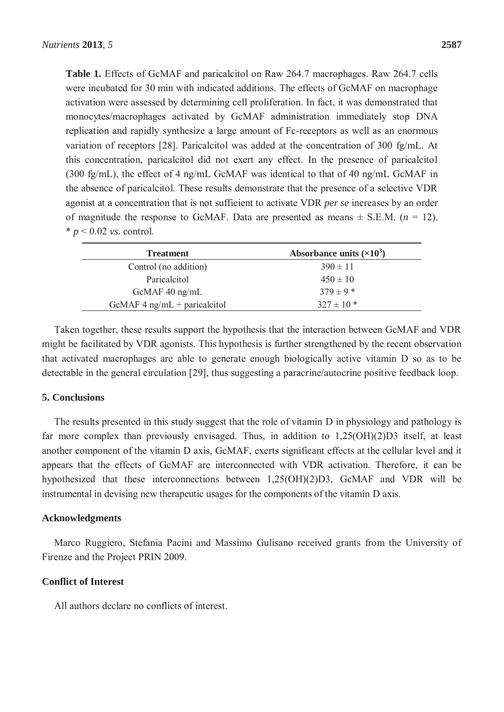**Table 1.** Effects of GcMAF and paricalcitol on Raw 264.7 macrophages. Raw 264.7 cells were incubated for 30 min with indicated additions. The effects of GcMAF on macrophage activation were assessed by determining cell proliferation. In fact, it was demonstrated that monocytes/macrophages activated by GcMAF administration immediately stop DNA replication and rapidly synthesize a large amount of Fc-receptors as well as an enormous variation of receptors [28]. Paricalcitol was added at the concentration of 300 fg/mL. At this concentration, paricalcitol did not exert any effect. In the presence of paricalcitol (300 fg/mL), the effect of 4 ng/mL GcMAF was identical to that of 40 ng/mL GcMAF in the absence of paricalcitol. These results demonstrate that the presence of a selective VDR agonist at a concentration that is not sufficient to activate VDR *per se* increases by an order of magnitude the response to GcMAF. Data are presented as means  $\pm$  S.E.M. ( $n = 12$ ).  $* p < 0.02$  *vs.* control.

| <b>Treatment</b>             | Absorbance units $(\times 10^3)$ |
|------------------------------|----------------------------------|
| Control (no addition)        | $390 \pm 11$                     |
| Paricalcitol                 | $450 \pm 10$                     |
| GCMAF $40 \text{ ng/mL}$     | $379 \pm 9$ *                    |
| GcMAF 4 ng/mL + paricalcitol | $327 \pm 10$ *                   |

Taken together, these results support the hypothesis that the interaction between GcMAF and VDR might be facilitated by VDR agonists. This hypothesis is further strengthened by the recent observation that activated macrophages are able to generate enough biologically active vitamin D so as to be detectable in the general circulation [29], thus suggesting a paracrine/autocrine positive feedback loop.

# **5. Conclusions**

The results presented in this study suggest that the role of vitamin D in physiology and pathology is far more complex than previously envisaged. Thus, in addition to 1,25(OH)(2)D3 itself, at least another component of the vitamin D axis, GcMAF, exerts significant effects at the cellular level and it appears that the effects of GcMAF are interconnected with VDR activation. Therefore, it can be hypothesized that these interconnections between 1,25(OH)(2)D3, GcMAF and VDR will be instrumental in devising new therapeutic usages for the components of the vitamin D axis.

# **Acknowledgments**

Marco Ruggiero, Stefania Pacini and Massimo Gulisano received grants from the University of Firenze and the Project PRIN 2009.

# **Conflict of Interest**

All authors declare no conflicts of interest.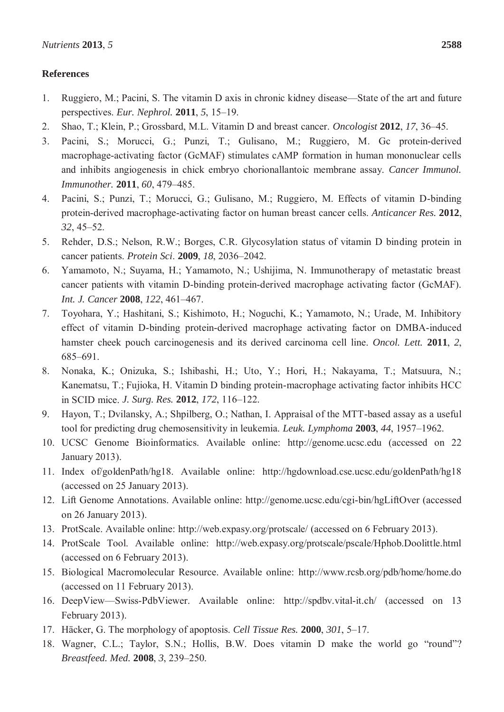# **References**

- 1. Ruggiero, M.; Pacini, S. The vitamin D axis in chronic kidney disease—State of the art and future perspectives. *Eur. Nephrol.* **2011**, *5*, 15–19.
- 2. Shao, T.; Klein, P.; Grossbard, M.L. Vitamin D and breast cancer. *Oncologist* **2012**, *17*, 36–45.
- 3. Pacini, S.; Morucci, G.; Punzi, T.; Gulisano, M.; Ruggiero, M. Gc protein-derived macrophage-activating factor (GcMAF) stimulates cAMP formation in human mononuclear cells and inhibits angiogenesis in chick embryo chorionallantoic membrane assay. *Cancer Immunol. Immunother.* **2011**, *60*, 479–485.
- 4. Pacini, S.; Punzi, T.; Morucci, G.; Gulisano, M.; Ruggiero, M. Effects of vitamin D-binding protein-derived macrophage-activating factor on human breast cancer cells. *Anticancer Res.* **2012**, *32*, 45–52.
- 5. Rehder, D.S.; Nelson, R.W.; Borges, C.R. Glycosylation status of vitamin D binding protein in cancer patients. *Protein Sci*. **2009**, *18*, 2036–2042.
- 6. Yamamoto, N.; Suyama, H.; Yamamoto, N.; Ushijima, N. Immunotherapy of metastatic breast cancer patients with vitamin D-binding protein-derived macrophage activating factor (GcMAF). *Int. J. Cancer* **2008**, *122*, 461–467.
- 7. Toyohara, Y.; Hashitani, S.; Kishimoto, H.; Noguchi, K.; Yamamoto, N.; Urade, M. Inhibitory effect of vitamin D-binding protein-derived macrophage activating factor on DMBA-induced hamster cheek pouch carcinogenesis and its derived carcinoma cell line. *Oncol. Lett.* **2011**, *2*, 685–691.
- 8. Nonaka, K.; Onizuka, S.; Ishibashi, H.; Uto, Y.; Hori, H.; Nakayama, T.; Matsuura, N.; Kanematsu, T.; Fujioka, H. Vitamin D binding protein-macrophage activating factor inhibits HCC in SCID mice. *J. Surg. Res.* **2012**, *172*, 116–122.
- 9. Hayon, T.; Dvilansky, A.; Shpilberg, O.; Nathan, I. Appraisal of the MTT-based assay as a useful tool for predicting drug chemosensitivity in leukemia. *Leuk. Lymphoma* **2003**, *44*, 1957–1962.
- 10. UCSC Genome Bioinformatics. Available online: http://genome.ucsc.edu (accessed on 22 January 2013).
- 11. Index of/goldenPath/hg18. Available online: http://hgdownload.cse.ucsc.edu/goldenPath/hg18 (accessed on 25 January 2013).
- 12. Lift Genome Annotations. Available online: http://genome.ucsc.edu/cgi-bin/hgLiftOver (accessed on 26 January 2013).
- 13. ProtScale. Available online: http://web.expasy.org/protscale/ (accessed on 6 February 2013).
- 14. ProtScale Tool. Available online: http://web.expasy.org/protscale/pscale/Hphob.Doolittle.html (accessed on 6 February 2013).
- 15. Biological Macromolecular Resource. Available online: http://www.rcsb.org/pdb/home/home.do (accessed on 11 February 2013).
- 16. DeepView––Swiss-PdbViewer. Available online: http://spdbv.vital-it.ch/ (accessed on 13 February 2013).
- 17. Häcker, G. The morphology of apoptosis. *Cell Tissue Res.* **2000**, *301*, 5–17.
- 18. Wagner, C.L.; Taylor, S.N.; Hollis, B.W. Does vitamin D make the world go "round"? *Breastfeed. Med.* **2008**, *3*, 239–250.